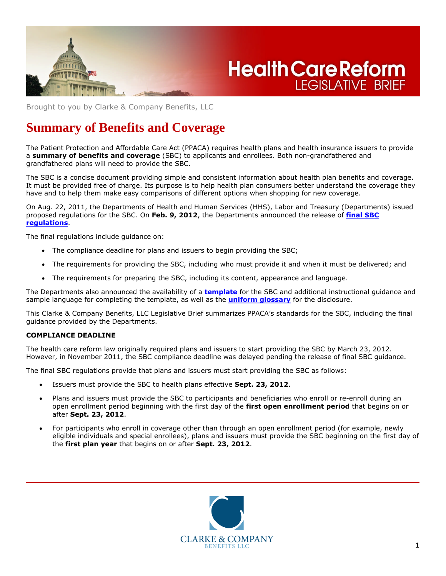

# **Health Care Reform LEGISLATIVE BRIEF**

Brought to you by Clarke & Company Benefits, LLC

# **Summary of Benefits and Coverage**

The Patient Protection and Affordable Care Act (PPACA) requires health plans and health insurance issuers to provide a **summary of benefits and coverage** (SBC) to applicants and enrollees. Both non-grandfathered and grandfathered plans will need to provide the SBC.

The SBC is a concise document providing simple and consistent information about health plan benefits and coverage. It must be provided free of charge. Its purpose is to help health plan consumers better understand the coverage they have and to help them make easy comparisons of different options when shopping for new coverage.

On Aug. 22, 2011, the Departments of Health and Human Services (HHS), Labor and Treasury (Departments) issued proposed regulations for the SBC. On **Feb. 9, 2012**, the Departments announced the release of **final SBC regulations**.

The final regulations include guidance on:

- The compliance deadline for plans and issuers to begin providing the SBC;
- The requirements for providing the SBC, including who must provide it and when it must be delivered; and
- The requirements for preparing the SBC, including its content, appearance and language.

The Departments also announced the availability of a **template** for the SBC and additional instructional guidance and sample language for completing the template, as well as the **uniform glossary** for the disclosure.

This Clarke & Company Benefits, LLC Legislative Brief summarizes PPACA's standards for the SBC, including the final guidance provided by the Departments.

#### **COMPLIANCE DEADLINE**

The health care reform law originally required plans and issuers to start providing the SBC by March 23, 2012. However, in November 2011, the SBC compliance deadline was delayed pending the release of final SBC guidance.

The final SBC regulations provide that plans and issuers must start providing the SBC as follows:

- Issuers must provide the SBC to health plans effective **Sept. 23, 2012**.
- Plans and issuers must provide the SBC to participants and beneficiaries who enroll or re-enroll during an open enrollment period beginning with the first day of the **first open enrollment period** that begins on or after **Sept. 23, 2012**.
- For participants who enroll in coverage other than through an open enrollment period (for example, newly eligible individuals and special enrollees), plans and issuers must provide the SBC beginning on the first day of the **first plan year** that begins on or after **Sept. 23, 2012**.

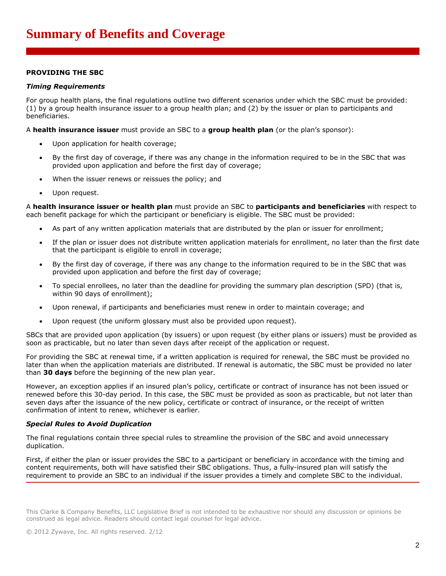### **PROVIDING THE SBC**

#### *Timing Requirements*

For group health plans, the final regulations outline two different scenarios under which the SBC must be provided: (1) by a group health insurance issuer to a group health plan; and (2) by the issuer or plan to participants and beneficiaries.

A **health insurance issuer** must provide an SBC to a **group health plan** (or the plan's sponsor):

- Upon application for health coverage;
- By the first day of coverage, if there was any change in the information required to be in the SBC that was provided upon application and before the first day of coverage;
- When the issuer renews or reissues the policy; and
- Upon request.

A **health insurance issuer or health plan** must provide an SBC to **participants and beneficiaries** with respect to each benefit package for which the participant or beneficiary is eligible. The SBC must be provided:

- As part of any written application materials that are distributed by the plan or issuer for enrollment;
- If the plan or issuer does not distribute written application materials for enrollment, no later than the first date that the participant is eligible to enroll in coverage;
- By the first day of coverage, if there was any change to the information required to be in the SBC that was provided upon application and before the first day of coverage;
- To special enrollees, no later than the deadline for providing the summary plan description (SPD) (that is, within 90 days of enrollment);
- Upon renewal, if participants and beneficiaries must renew in order to maintain coverage; and
- Upon request (the uniform glossary must also be provided upon request).

SBCs that are provided upon application (by issuers) or upon request (by either plans or issuers) must be provided as soon as practicable, but no later than seven days after receipt of the application or request.

For providing the SBC at renewal time, if a written application is required for renewal, the SBC must be provided no later than when the application materials are distributed. If renewal is automatic, the SBC must be provided no later than **30 days** before the beginning of the new plan year.

However, an exception applies if an insured plan's policy, certificate or contract of insurance has not been issued or renewed before this 30-day period. In this case, the SBC must be provided as soon as practicable, but not later than seven days after the issuance of the new policy, certificate or contract of insurance, or the receipt of written confirmation of intent to renew, whichever is earlier.

#### *Special Rules to Avoid Duplication*

The final regulations contain three special rules to streamline the provision of the SBC and avoid unnecessary duplication.

First, if either the plan or issuer provides the SBC to a participant or beneficiary in accordance with the timing and content requirements, both will have satisfied their SBC obligations. Thus, a fully-insured plan will satisfy the requirement to provide an SBC to an individual if the issuer provides a timely and complete SBC to the individual.

This Clarke & Company Benefits, LLC Legislative Brief is not intended to be exhaustive nor should any discussion or opinions be construed as legal advice. Readers should contact legal counsel for legal advice.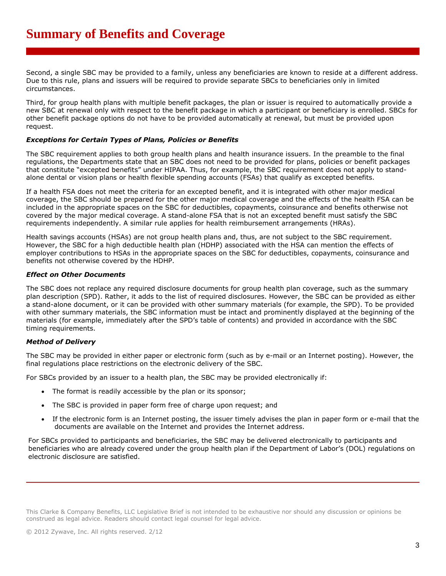Second, a single SBC may be provided to a family, unless any beneficiaries are known to reside at a different address. Due to this rule, plans and issuers will be required to provide separate SBCs to beneficiaries only in limited circumstances.

Third, for group health plans with multiple benefit packages, the plan or issuer is required to automatically provide a new SBC at renewal only with respect to the benefit package in which a participant or beneficiary is enrolled. SBCs for other benefit package options do not have to be provided automatically at renewal, but must be provided upon request.

#### *Exceptions for Certain Types of Plans, Policies or Benefits*

The SBC requirement applies to both group health plans and health insurance issuers. In the preamble to the final regulations, the Departments state that an SBC does not need to be provided for plans, policies or benefit packages that constitute "excepted benefits" under HIPAA. Thus, for example, the SBC requirement does not apply to standalone dental or vision plans or health flexible spending accounts (FSAs) that qualify as excepted benefits.

If a health FSA does not meet the criteria for an excepted benefit, and it is integrated with other major medical coverage, the SBC should be prepared for the other major medical coverage and the effects of the health FSA can be included in the appropriate spaces on the SBC for deductibles, copayments, coinsurance and benefits otherwise not covered by the major medical coverage. A stand-alone FSA that is not an excepted benefit must satisfy the SBC requirements independently. A similar rule applies for health reimbursement arrangements (HRAs).

Health savings accounts (HSAs) are not group health plans and, thus, are not subject to the SBC requirement. However, the SBC for a high deductible health plan (HDHP) associated with the HSA can mention the effects of employer contributions to HSAs in the appropriate spaces on the SBC for deductibles, copayments, coinsurance and benefits not otherwise covered by the HDHP.

#### *Effect on Other Documents*

The SBC does not replace any required disclosure documents for group health plan coverage, such as the summary plan description (SPD). Rather, it adds to the list of required disclosures. However, the SBC can be provided as either a stand-alone document, or it can be provided with other summary materials (for example, the SPD). To be provided with other summary materials, the SBC information must be intact and prominently displayed at the beginning of the materials (for example, immediately after the SPD's table of contents) and provided in accordance with the SBC timing requirements.

# *Method of Delivery*

The SBC may be provided in either paper or electronic form (such as by e-mail or an Internet posting). However, the final regulations place restrictions on the electronic delivery of the SBC.

For SBCs provided by an issuer to a health plan, the SBC may be provided electronically if:

- The format is readily accessible by the plan or its sponsor;
- The SBC is provided in paper form free of charge upon request; and
- If the electronic form is an Internet posting, the issuer timely advises the plan in paper form or e-mail that the documents are available on the Internet and provides the Internet address.

For SBCs provided to participants and beneficiaries, the SBC may be delivered electronically to participants and beneficiaries who are already covered under the group health plan if the Department of Labor's (DOL) regulations on electronic disclosure are satisfied.

This Clarke & Company Benefits, LLC Legislative Brief is not intended to be exhaustive nor should any discussion or opinions be construed as legal advice. Readers should contact legal counsel for legal advice.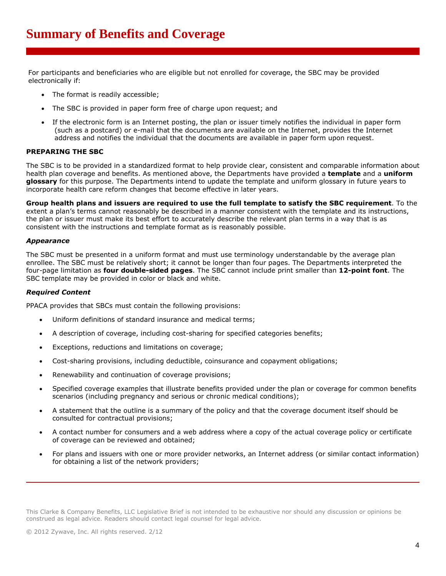For participants and beneficiaries who are eligible but not enrolled for coverage, the SBC may be provided electronically if:

- The format is readily accessible;
- The SBC is provided in paper form free of charge upon request; and
- If the electronic form is an Internet posting, the plan or issuer timely notifies the individual in paper form (such as a postcard) or e-mail that the documents are available on the Internet, provides the Internet address and notifies the individual that the documents are available in paper form upon request.

#### **PREPARING THE SBC**

The SBC is to be provided in a standardized format to help provide clear, consistent and comparable information about health plan coverage and benefits. As mentioned above, the Departments have provided a **template** and a **uniform glossary** for this purpose. The Departments intend to update the template and uniform glossary in future years to incorporate health care reform changes that become effective in later years.

**Group health plans and issuers are required to use the full template to satisfy the SBC requirement**. To the extent a plan's terms cannot reasonably be described in a manner consistent with the template and its instructions, the plan or issuer must make its best effort to accurately describe the relevant plan terms in a way that is as consistent with the instructions and template format as is reasonably possible.

#### *Appearance*

The SBC must be presented in a uniform format and must use terminology understandable by the average plan enrollee. The SBC must be relatively short; it cannot be longer than four pages. The Departments interpreted the four-page limitation as **four double-sided pages**. The SBC cannot include print smaller than **12-point font**. The SBC template may be provided in color or black and white.

#### *Required Content*

PPACA provides that SBCs must contain the following provisions:

- Uniform definitions of standard insurance and medical terms;
- A description of coverage, including cost-sharing for specified categories benefits;
- Exceptions, reductions and limitations on coverage;
- Cost-sharing provisions, including deductible, coinsurance and copayment obligations;
- Renewability and continuation of coverage provisions;
- Specified coverage examples that illustrate benefits provided under the plan or coverage for common benefits scenarios (including pregnancy and serious or chronic medical conditions);
- A statement that the outline is a summary of the policy and that the coverage document itself should be consulted for contractual provisions;
- A contact number for consumers and a web address where a copy of the actual coverage policy or certificate of coverage can be reviewed and obtained;
- For plans and issuers with one or more provider networks, an Internet address (or similar contact information) for obtaining a list of the network providers;

This Clarke & Company Benefits, LLC Legislative Brief is not intended to be exhaustive nor should any discussion or opinions be construed as legal advice. Readers should contact legal counsel for legal advice.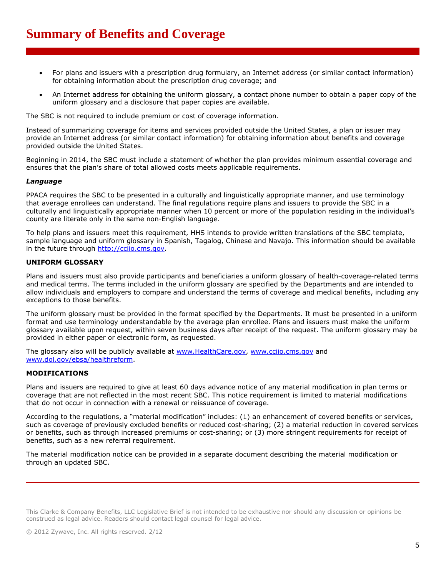- For plans and issuers with a prescription drug formulary, an Internet address (or similar contact information) for obtaining information about the prescription drug coverage; and
- An Internet address for obtaining the uniform glossary, a contact phone number to obtain a paper copy of the uniform glossary and a disclosure that paper copies are available.

The SBC is not required to include premium or cost of coverage information.

Instead of summarizing coverage for items and services provided outside the United States, a plan or issuer may provide an Internet address (or similar contact information) for obtaining information about benefits and coverage provided outside the United States.

Beginning in 2014, the SBC must include a statement of whether the plan provides minimum essential coverage and ensures that the plan's share of total allowed costs meets applicable requirements.

#### *Language*

PPACA requires the SBC to be presented in a culturally and linguistically appropriate manner, and use terminology that average enrollees can understand. The final regulations require plans and issuers to provide the SBC in a culturally and linguistically appropriate manner when 10 percent or more of the population residing in the individual's county are literate only in the same non-English language.

To help plans and issuers meet this requirement, HHS intends to provide written translations of the SBC template, sample language and uniform glossary in Spanish, Tagalog, Chinese and Navajo. This information should be available in the future through http://cciio.cms.gov.

#### **UNIFORM GLOSSARY**

Plans and issuers must also provide participants and beneficiaries a uniform glossary of health-coverage-related terms and medical terms. The terms included in the uniform glossary are specified by the Departments and are intended to allow individuals and employers to compare and understand the terms of coverage and medical benefits, including any exceptions to those benefits.

The uniform glossary must be provided in the format specified by the Departments. It must be presented in a uniform format and use terminology understandable by the average plan enrollee. Plans and issuers must make the uniform glossary available upon request, within seven business days after receipt of the request. The uniform glossary may be provided in either paper or electronic form, as requested.

The glossary also will be publicly available at www.HealthCare.gov, www.cciio.cms.gov and www.dol.gov/ebsa/healthreform.

#### **MODIFICATIONS**

Plans and issuers are required to give at least 60 days advance notice of any material modification in plan terms or coverage that are not reflected in the most recent SBC. This notice requirement is limited to material modifications that do not occur in connection with a renewal or reissuance of coverage.

According to the regulations, a "material modification" includes: (1) an enhancement of covered benefits or services, such as coverage of previously excluded benefits or reduced cost-sharing; (2) a material reduction in covered services or benefits, such as through increased premiums or cost-sharing; or (3) more stringent requirements for receipt of benefits, such as a new referral requirement.

The material modification notice can be provided in a separate document describing the material modification or through an updated SBC.

This Clarke & Company Benefits, LLC Legislative Brief is not intended to be exhaustive nor should any discussion or opinions be construed as legal advice. Readers should contact legal counsel for legal advice.